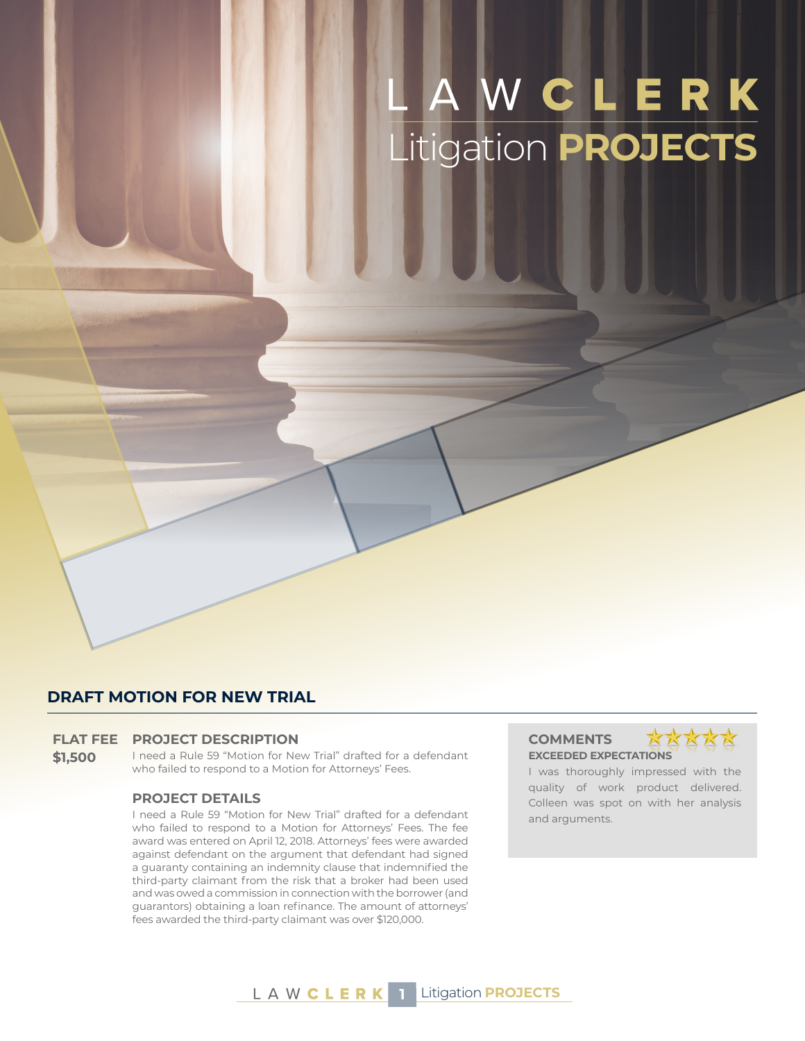# Litigation **PROJECTS**

#### **DRAFT MOTION FOR NEW TRIAL**

#### **FLAT FEE PROJECT DESCRIPTION COMMENTS**

**\$1,500** I need a Rule 59 "Motion for New Trial" drafted for a defendant who failed to respond to a Motion for Attorneys' Fees.

#### **PROJECT DETAILS**

I need a Rule 59 "Motion for New Trial" drafted for a defendant who failed to respond to a Motion for Attorneys' Fees. The fee award was entered on April 12, 2018. Attorneys' fees were awarded against defendant on the argument that defendant had signed a guaranty containing an indemnity clause that indemnified the third-party claimant from the risk that a broker had been used and was owed a commission in connection with the borrower (and guarantors) obtaining a loan refinance. The amount of attorneys' fees awarded the third-party claimant was over \$120,000.

# **EXCEEDED EXPECTATIONS**



I was thoroughly impressed with the quality of work product delivered. Colleen was spot on with her analysis and arguments.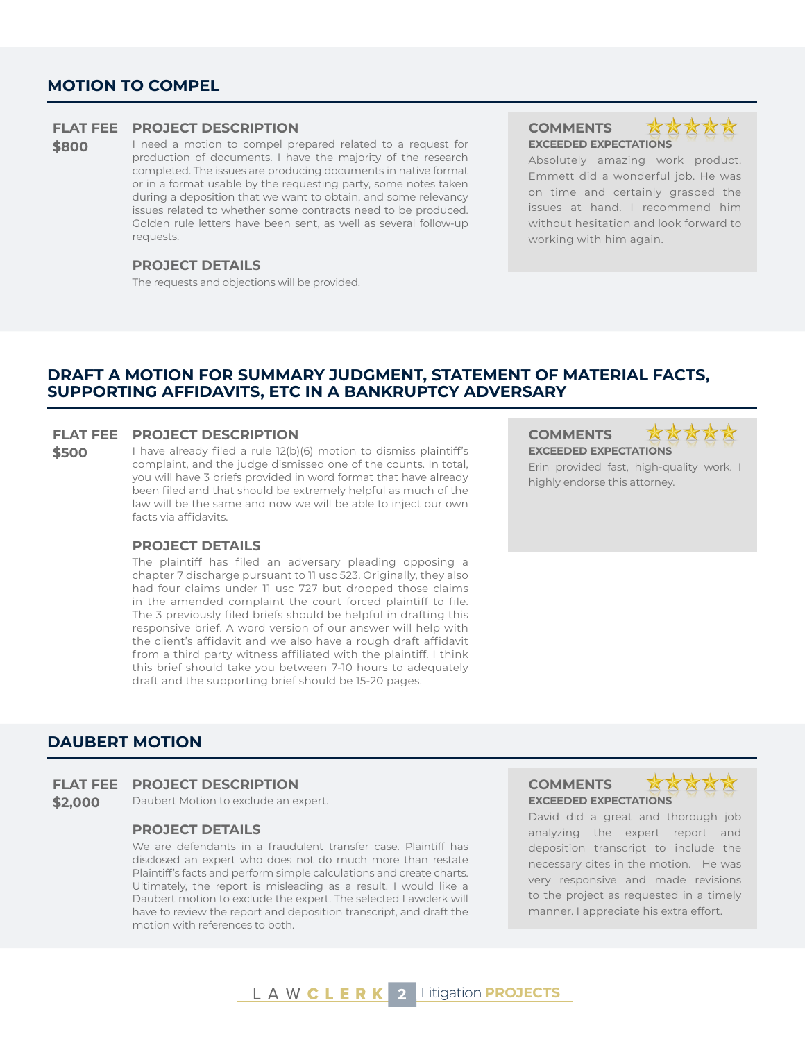#### **MOTION TO COMPEL**

#### **FLAT FEE PROJECT DESCRIPTION COMMENTS**

**\$800** I need a motion to compel prepared related to a request for production of documents. I have the majority of the research completed. The issues are producing documents in native format or in a format usable by the requesting party, some notes taken during a deposition that we want to obtain, and some relevancy issues related to whether some contracts need to be produced. Golden rule letters have been sent, as well as several follow-up requests.

#### **PROJECT DETAILS**

The requests and objections will be provided.

**EXCEEDED EXPECTATIONS**



Absolutely amazing work product. Emmett did a wonderful job. He was on time and certainly grasped the issues at hand. I recommend him without hesitation and look forward to working with him again.

#### **DRAFT A MOTION FOR SUMMARY JUDGMENT, STATEMENT OF MATERIAL FACTS, SUPPORTING AFFIDAVITS, ETC IN A BANKRUPTCY ADVERSARY**

#### **FLAT FEE PROJECT DESCRIPTION COMMENTS**

**\$500** I have already filed a rule 12(b)(6) motion to dismiss plaintiff's complaint, and the judge dismissed one of the counts. In total, you will have 3 briefs provided in word format that have already been filed and that should be extremely helpful as much of the law will be the same and now we will be able to inject our own facts via affidavits.

#### **PROJECT DETAILS**

The plaintiff has filed an adversary pleading opposing a chapter 7 discharge pursuant to 11 usc 523. Originally, they also had four claims under 11 usc 727 but dropped those claims in the amended complaint the court forced plaintiff to file. The 3 previously filed briefs should be helpful in drafting this responsive brief. A word version of our answer will help with the client's affidavit and we also have a rough draft affidavit from a third party witness affiliated with the plaintiff. I think this brief should take you between 7-10 hours to adequately draft and the supporting brief should be 15-20 pages.

**EXCEEDED EXPECTATIONS**

Erin provided fast, high-quality work. I highly endorse this attorney.

#### **DAUBERT MOTION**

#### **FLAT FEE PROJECT DESCRIPTION COMMENTS**

**\$2,000** Daubert Motion to exclude an expert. **EXCEEDED EXPECTATIONS** 

#### **PROJECT DETAILS**

We are defendants in a fraudulent transfer case. Plaintiff has disclosed an expert who does not do much more than restate Plaintiff's facts and perform simple calculations and create charts. Ultimately, the report is misleading as a result. I would like a Daubert motion to exclude the expert. The selected Lawclerk will have to review the report and deposition transcript, and draft the motion with references to both.



David did a great and thorough job analyzing the expert report and deposition transcript to include the necessary cites in the motion. He was very responsive and made revisions to the project as requested in a timely manner. I appreciate his extra effort.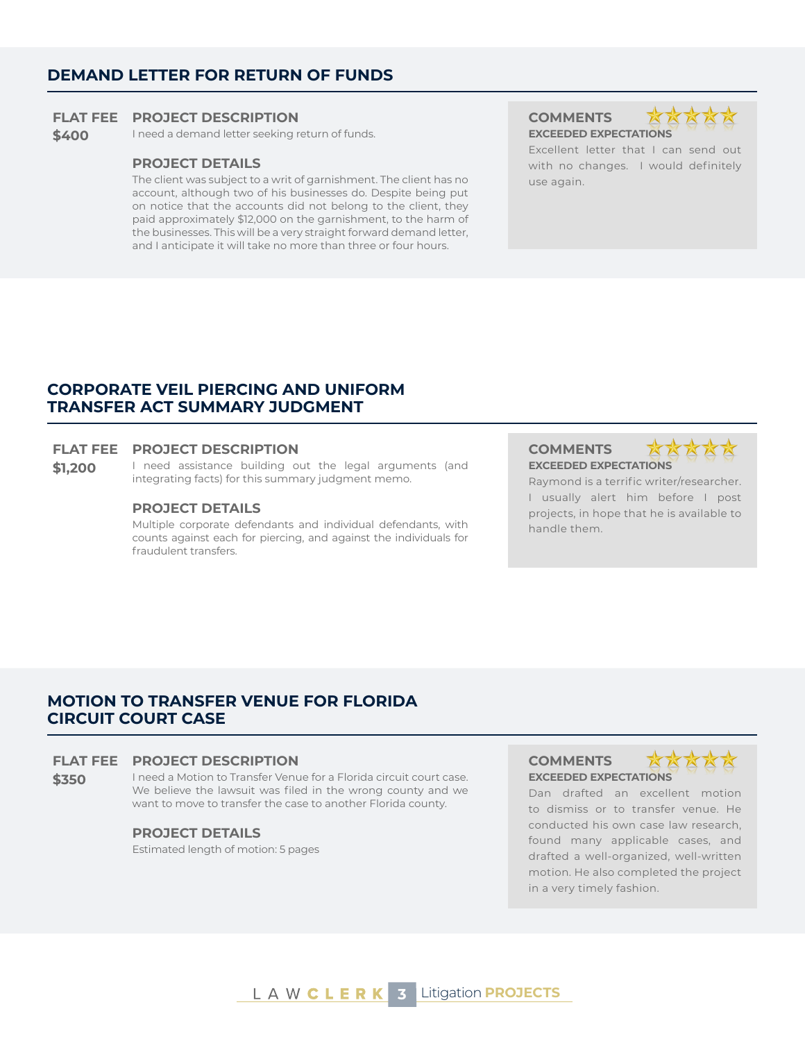#### **DEMAND LETTER FOR RETURN OF FUNDS**

#### **FLAT FEE PROJECT DESCRIPTION COMMENTS**

**\$400** I need a demand letter seeking return of funds. **EXCEEDED EXPECTATIONS** 

#### **PROJECT DETAILS**

The client was subject to a writ of garnishment. The client has no account, although two of his businesses do. Despite being put on notice that the accounts did not belong to the client, they paid approximately \$12,000 on the garnishment, to the harm of the businesses. This will be a very straight forward demand letter, and I anticipate it will take no more than three or four hours.



Excellent letter that I can send out with no changes. I would definitely use again.

#### **CORPORATE VEIL PIERCING AND UNIFORM TRANSFER ACT SUMMARY JUDGMENT**

#### **FLAT FEE PROJECT DESCRIPTION COMMENTS**

\$1,200 I need assistance building out the legal arguments (and integrating facts) for this summary judgment memo.

#### **PROJECT DETAILS**

Multiple corporate defendants and individual defendants, with counts against each for piercing, and against the individuals for fraudulent transfers.

**EXCEEDED EXPECTATIONS**



Raymond is a terrific writer/researcher. I usually alert him before I post projects, in hope that he is available to handle them.

## **MOTION TO TRANSFER VENUE FOR FLORIDA CIRCUIT COURT CASE**

#### **FLAT FEE PROJECT DESCRIPTION COMMENTS**

\$350 I need a Motion to Transfer Venue for a Florida circuit court case. We believe the lawsuit was filed in the wrong county and we want to move to transfer the case to another Florida county.

#### **PROJECT DETAILS**

Estimated length of motion: 5 pages

# **EXCEEDED EXPECTATIONS**



Dan drafted an excellent motion to dismiss or to transfer venue. He conducted his own case law research, found many applicable cases, and drafted a well-organized, well-written motion. He also completed the project in a very timely fashion.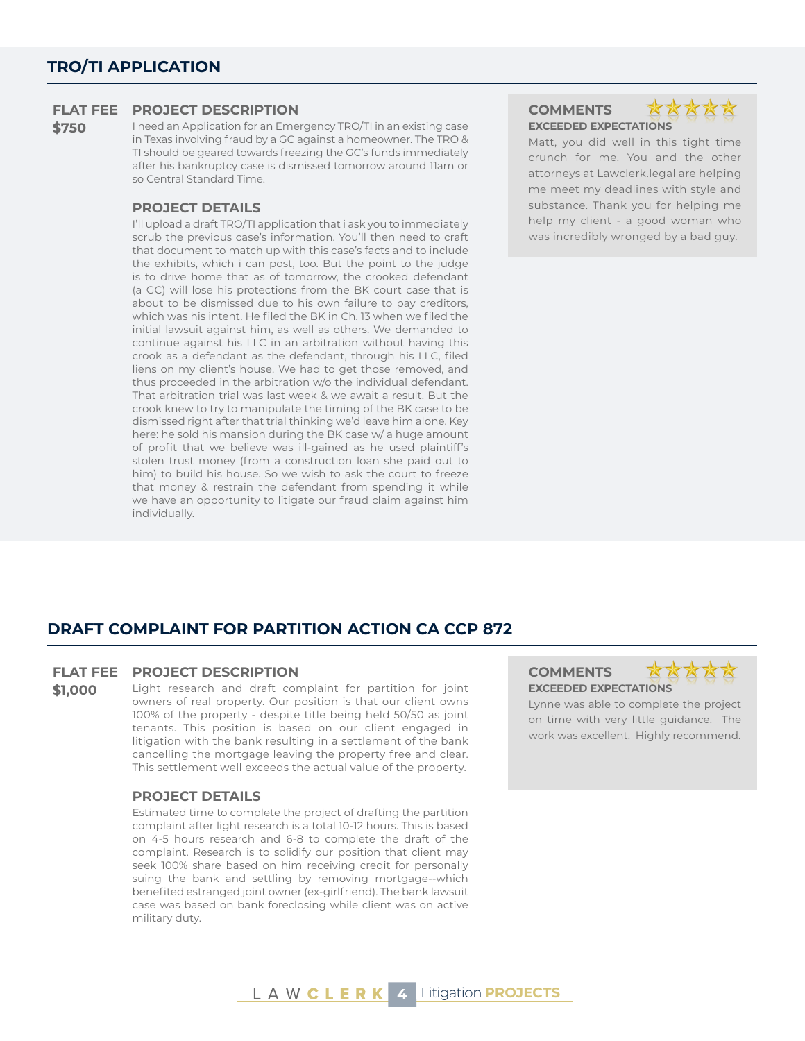**\$750** I need an Application for an Emergency TRO/TI in an existing case in Texas involving fraud by a GC against a homeowner. The TRO & TI should be geared towards freezing the GC's funds immediately after his bankruptcy case is dismissed tomorrow around 11am or so Central Standard Time.

#### **PROJECT DETAILS**

I'll upload a draft TRO/TI application that i ask you to immediately scrub the previous case's information. You'll then need to craft that document to match up with this case's facts and to include the exhibits, which i can post, too. But the point to the judge is to drive home that as of tomorrow, the crooked defendant (a GC) will lose his protections from the BK court case that is about to be dismissed due to his own failure to pay creditors, which was his intent. He filed the BK in Ch. 13 when we filed the initial lawsuit against him, as well as others. We demanded to continue against his LLC in an arbitration without having this crook as a defendant as the defendant, through his LLC, filed liens on my client's house. We had to get those removed, and thus proceeded in the arbitration w/o the individual defendant. That arbitration trial was last week & we await a result. But the crook knew to try to manipulate the timing of the BK case to be dismissed right after that trial thinking we'd leave him alone. Key here: he sold his mansion during the BK case w/ a huge amount of profit that we believe was ill-gained as he used plaintiff's stolen trust money (from a construction loan she paid out to him) to build his house. So we wish to ask the court to freeze that money & restrain the defendant from spending it while we have an opportunity to litigate our fraud claim against him individually.

**EXCEEDED EXPECTATIONS**



Matt, you did well in this tight time crunch for me. You and the other attorneys at Lawclerk.legal are helping me meet my deadlines with style and substance. Thank you for helping me help my client - a good woman who was incredibly wronged by a bad guy.

## **DRAFT COMPLAINT FOR PARTITION ACTION CA CCP 872**

#### **FLAT FEE PROJECT DESCRIPTION COMMENTS**

**\$1.000** Light research and draft complaint for partition for joint owners of real property. Our position is that our client owns 100% of the property - despite title being held 50/50 as joint tenants. This position is based on our client engaged in litigation with the bank resulting in a settlement of the bank cancelling the mortgage leaving the property free and clear. This settlement well exceeds the actual value of the property.

#### **PROJECT DETAILS**

Estimated time to complete the project of drafting the partition complaint after light research is a total 10-12 hours. This is based on 4-5 hours research and 6-8 to complete the draft of the complaint. Research is to solidify our position that client may seek 100% share based on him receiving credit for personally suing the bank and settling by removing mortgage--which benefited estranged joint owner (ex-girlfriend). The bank lawsuit case was based on bank foreclosing while client was on active military duty.

**EXCEEDED EXPECTATIONS**



Lynne was able to complete the project on time with very little guidance. The work was excellent. Highly recommend.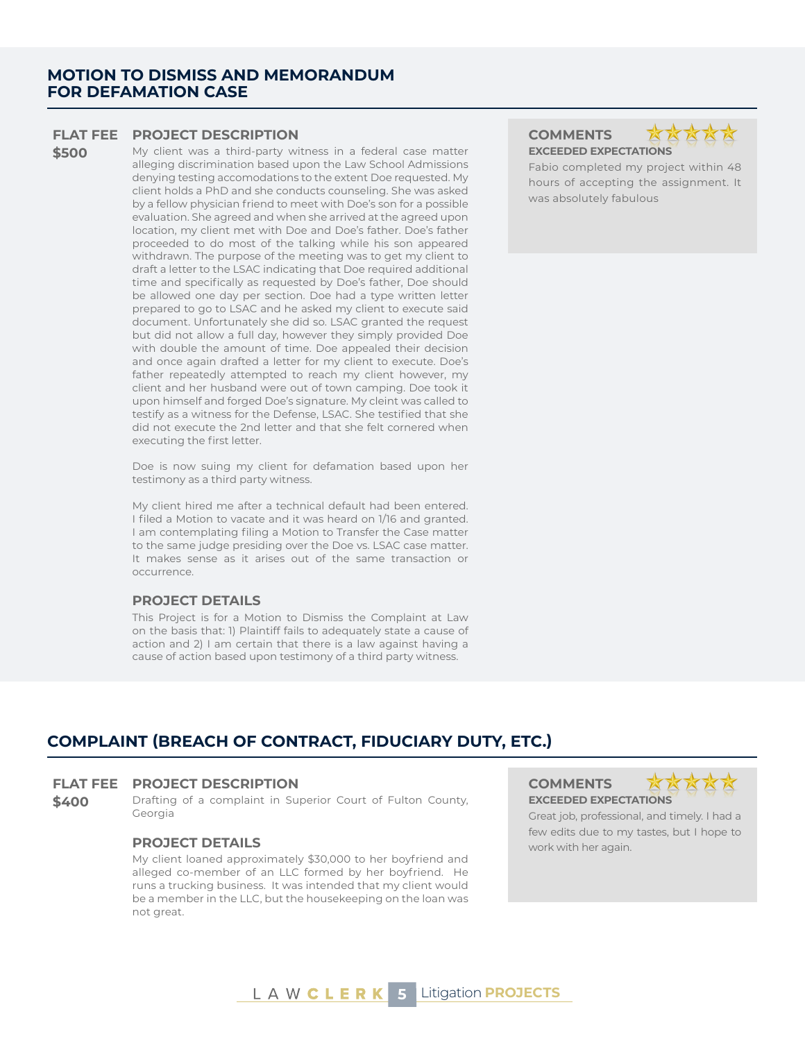#### **MOTION TO DISMISS AND MEMORANDUM FOR DEFAMATION CASE**

#### **FLAT FEE PROJECT DESCRIPTION COMMENTS**

**\$500** My client was a third-party witness in a federal case matter alleging discrimination based upon the Law School Admissions denying testing accomodations to the extent Doe requested. My client holds a PhD and she conducts counseling. She was asked by a fellow physician friend to meet with Doe's son for a possible evaluation. She agreed and when she arrived at the agreed upon location, my client met with Doe and Doe's father. Doe's father proceeded to do most of the talking while his son appeared withdrawn. The purpose of the meeting was to get my client to draft a letter to the LSAC indicating that Doe required additional time and specifically as requested by Doe's father, Doe should be allowed one day per section. Doe had a type written letter prepared to go to LSAC and he asked my client to execute said document. Unfortunately she did so. LSAC granted the request but did not allow a full day, however they simply provided Doe with double the amount of time. Doe appealed their decision and once again drafted a letter for my client to execute. Doe's father repeatedly attempted to reach my client however, my client and her husband were out of town camping. Doe took it upon himself and forged Doe's signature. My cleint was called to testify as a witness for the Defense, LSAC. She testified that she did not execute the 2nd letter and that she felt cornered when executing the first letter.

> Doe is now suing my client for defamation based upon her testimony as a third party witness.

> My client hired me after a technical default had been entered. I filed a Motion to vacate and it was heard on 1/16 and granted. I am contemplating filing a Motion to Transfer the Case matter to the same judge presiding over the Doe vs. LSAC case matter. It makes sense as it arises out of the same transaction or occurrence.

#### **PROJECT DETAILS**

This Project is for a Motion to Dismiss the Complaint at Law on the basis that: 1) Plaintiff fails to adequately state a cause of action and 2) I am certain that there is a law against having a cause of action based upon testimony of a third party witness.





Fabio completed my project within 48 hours of accepting the assignment. It was absolutely fabulous

## **COMPLAINT (BREACH OF CONTRACT, FIDUCIARY DUTY, ETC.)**

#### **FLAT FEE PROJECT DESCRIPTION COMMENTS**

**\$400** Drafting of a complaint in Superior Court of Fulton County, Georgia

#### **PROJECT DETAILS** work with her again.

My client loaned approximately \$30,000 to her boyfriend and alleged co-member of an LLC formed by her boyfriend. He runs a trucking business. It was intended that my client would be a member in the LLC, but the housekeeping on the loan was not great.

**EXCEEDED EXPECTATIONS**



Great job, professional, and timely. I had a few edits due to my tastes, but I hope to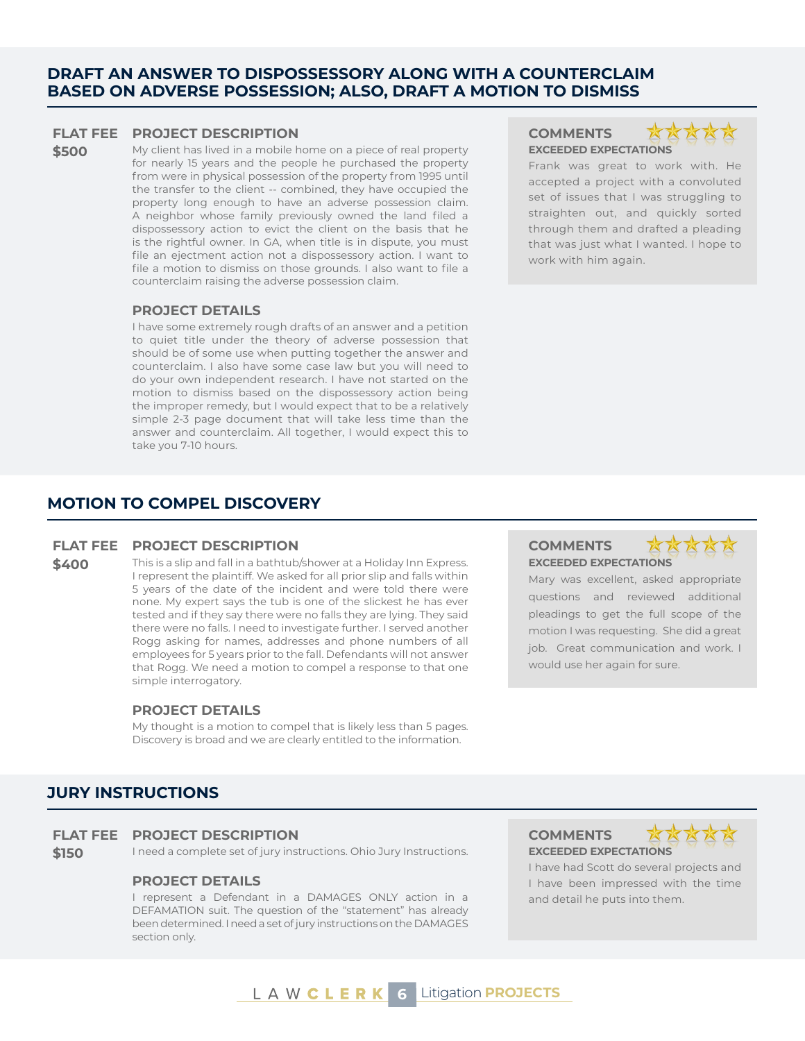#### **DRAFT AN ANSWER TO DISPOSSESSORY ALONG WITH A COUNTERCLAIM BASED ON ADVERSE POSSESSION; ALSO, DRAFT A MOTION TO DISMISS**

#### **FLAT FEE PROJECT DESCRIPTION COMMENTS**

**\$500** My client has lived in a mobile home on a piece of real property for nearly 15 years and the people he purchased the property from were in physical possession of the property from 1995 until the transfer to the client -- combined, they have occupied the property long enough to have an adverse possession claim. A neighbor whose family previously owned the land filed a dispossessory action to evict the client on the basis that he is the rightful owner. In GA, when title is in dispute, you must file an ejectment action not a dispossessory action. I want to file a motion to dismiss on those grounds. I also want to file a counterclaim raising the adverse possession claim.

#### **PROJECT DETAILS**

I have some extremely rough drafts of an answer and a petition to quiet title under the theory of adverse possession that should be of some use when putting together the answer and counterclaim. I also have some case law but you will need to do your own independent research. I have not started on the motion to dismiss based on the dispossessory action being the improper remedy, but I would expect that to be a relatively simple 2-3 page document that will take less time than the answer and counterclaim. All together, I would expect this to take you 7-10 hours.

# **EXCEEDED EXPECTATIONS**



Frank was great to work with. He accepted a project with a convoluted set of issues that I was struggling to straighten out, and quickly sorted through them and drafted a pleading that was just what I wanted. I hope to work with him again.

#### **MOTION TO COMPEL DISCOVERY**

#### **FLAT FEE PROJECT DESCRIPTION COMMENTS**

**\$400** This is a slip and fall in a bathtub/shower at a Holiday Inn Express. I represent the plaintiff. We asked for all prior slip and falls within 5 years of the date of the incident and were told there were none. My expert says the tub is one of the slickest he has ever tested and if they say there were no falls they are lying. They said there were no falls. I need to investigate further. I served another Rogg asking for names, addresses and phone numbers of all employees for 5 years prior to the fall. Defendants will not answer

#### **PROJECT DETAILS**

simple interrogatory.

My thought is a motion to compel that is likely less than 5 pages. Discovery is broad and we are clearly entitled to the information.

that Rogg. We need a motion to compel a response to that one

# **EXCEEDED EXPECTATIONS**



Mary was excellent, asked appropriate questions and reviewed additional pleadings to get the full scope of the motion I was requesting. She did a great job. Great communication and work. I would use her again for sure.

#### **JURY INSTRUCTIONS**

#### **FLAT FEE PROJECT DESCRIPTION COMMENTS**

**\$150** I need a complete set of jury instructions. Ohio Jury Instructions. **EXCEEDED EXPECTATIONS** 

#### **PROJECT DETAILS**

I represent a Defendant in a DAMAGES ONLY action in a DEFAMATION suit. The question of the "statement" has already been determined. I need a set of jury instructions on the DAMAGES section only.



I have had Scott do several projects and I have been impressed with the time and detail he puts into them.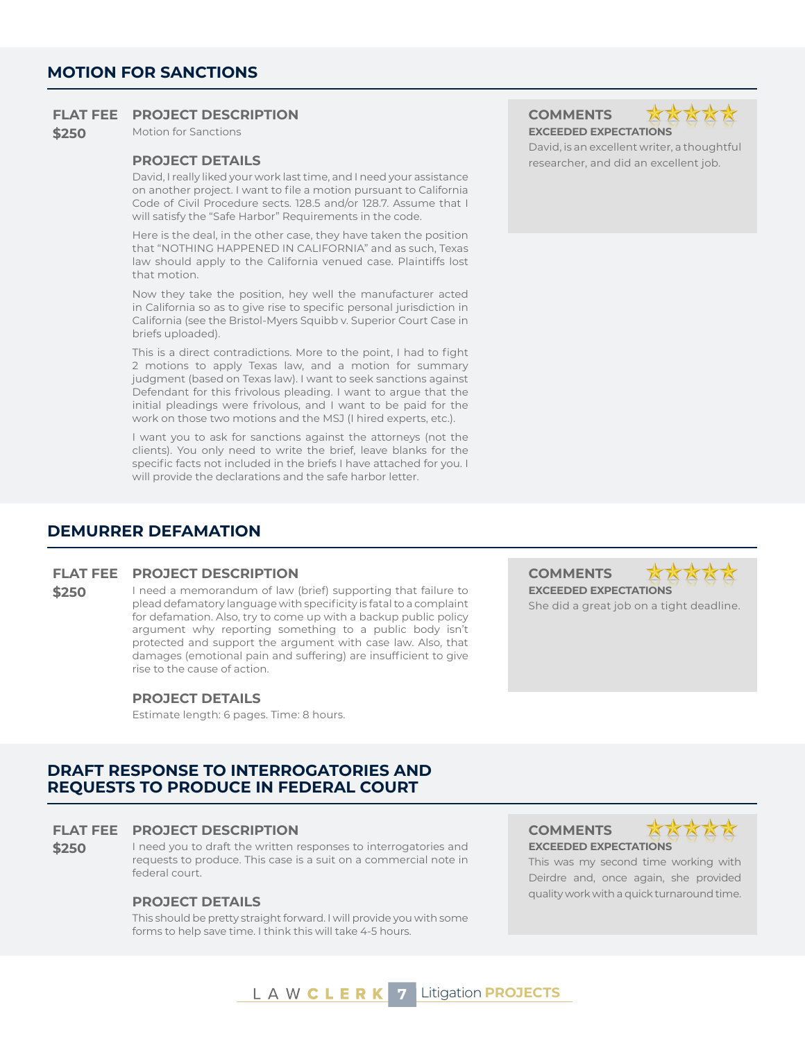**\$250** Motion for Sanctions **EXCEEDED EXPECTATIONS** 

David, I really liked your work last time, and I need your assistance on another project. I want to file a motion pursuant to California Code of Civil Procedure sects. 128.5 and/or 128.7. Assume that I will satisfy the "Safe Harbor" Requirements in the code.

Here is the deal, in the other case, they have taken the position that "NOTHING HAPPENED IN CALIFORNIA" and as such, Texas law should apply to the California venued case. Plaintiffs lost that motion.

Now they take the position, hey well the manufacturer acted in California so as to give rise to specific personal jurisdiction in California (see the Bristol-Myers Squibb v. Superior Court Case in briefs uploaded).

This is a direct contradictions. More to the point, I had to fight 2 motions to apply Texas law, and a motion for summary judgment (based on Texas law). I want to seek sanctions against Defendant for this frivolous pleading. I want to argue that the initial pleadings were frivolous, and I want to be paid for the work on those two motions and the MSJ (I hired experts, etc.).

I want you to ask for sanctions against the attorneys (not the clients). You only need to write the brief, leave blanks for the specific facts not included in the briefs I have attached for you. I will provide the declarations and the safe harbor letter.

David, is an excellent writer, a thoughtful **PROJECT DETAILS researcher, and did an excellent job. researcher, and did an excellent job.** 

#### **DEMURRER DEFAMATION**

#### **FLAT FEE PROJECT DESCRIPTION COMMENTS**

**\$250** I need a memorandum of law (brief) supporting that failure to plead defamatory language with specificity is fatal to a complaint for defamation. Also, try to come up with a backup public policy argument why reporting something to a public body isn't protected and support the argument with case law. Also, that damages (emotional pain and suffering) are insufficient to give rise to the cause of action.

#### **PROJECT DETAILS**

Estimate length: 6 pages. Time: 8 hours.

**EXCEEDED EXPECTATIONS** She did a great job on a tight deadline.

#### **DRAFT RESPONSE TO INTERROGATORIES AND REQUESTS TO PRODUCE IN FEDERAL COURT**

#### **FLAT FEE PROJECT DESCRIPTION COMMENTS**

**\$250** I need you to draft the written responses to interrogatories and requests to produce. This case is a suit on a commercial note in federal court.

This should be pretty straight forward. I will provide you with some forms to help save time. I think this will take 4-5 hours.

**EXCEEDED EXPECTATIONS**



This was my second time working with Deirdre and, once again, she provided quality work with a quick turnaround time. **PROJECT DETAILS**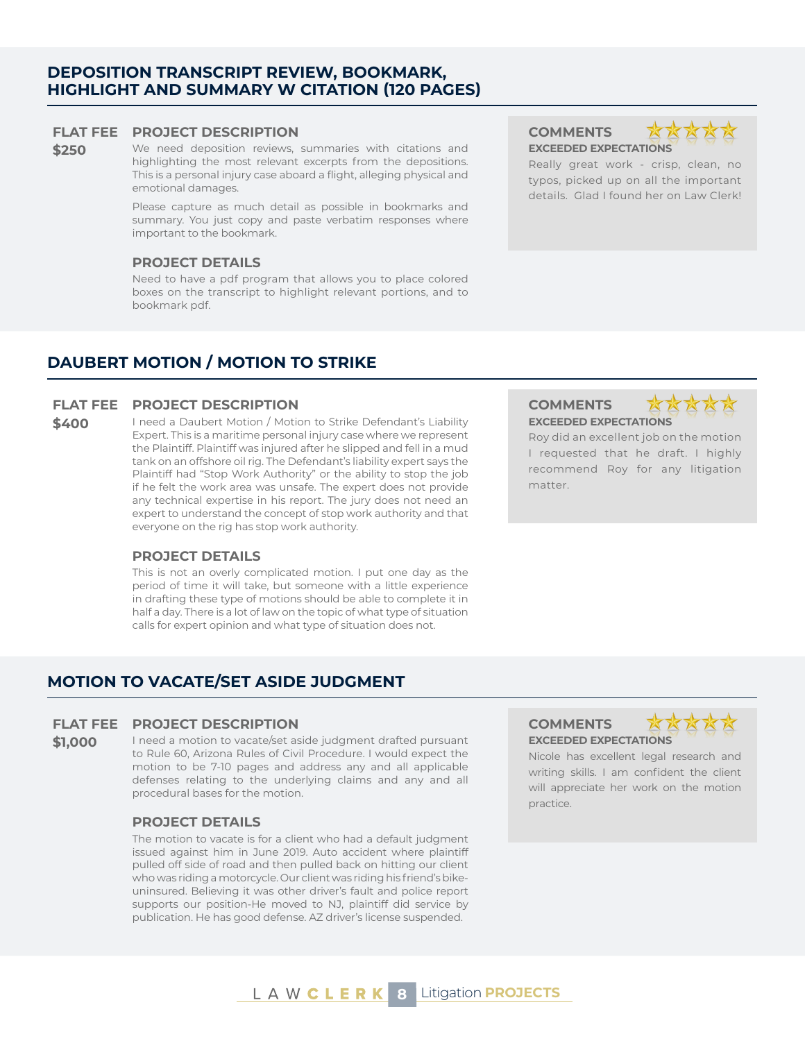## **L A W C L E R K 8 Litigation PROJECTS**

#### **DEPOSITION TRANSCRIPT REVIEW, BOOKMARK, HIGHLIGHT AND SUMMARY W CITATION (120 PAGES)**

#### **FLAT FEE PROJECT DESCRIPTION COMMENTS**

**\$250** We need deposition reviews, summaries with citations and highlighting the most relevant excerpts from the depositions. This is a personal injury case aboard a flight, alleging physical and emotional damages.

> Please capture as much detail as possible in bookmarks and summary. You just copy and paste verbatim responses where important to the bookmark.

#### **PROJECT DETAILS**

Need to have a pdf program that allows you to place colored boxes on the transcript to highlight relevant portions, and to bookmark pdf.

**EXCEEDED EXPECTATIONS** Really great work - crisp, clean, no typos, picked up on all the important

details. Glad I found her on Law Clerk!

## **DAUBERT MOTION / MOTION TO STRIKE**

#### **FLAT FEE PROJECT DESCRIPTION COMMENTS**

**\$400** I need a Daubert Motion / Motion to Strike Defendant's Liability Expert. This is a maritime personal injury case where we represent the Plaintiff. Plaintiff was injured after he slipped and fell in a mud tank on an offshore oil rig. The Defendant's liability expert says the Plaintiff had "Stop Work Authority" or the ability to stop the job if he felt the work area was unsafe. The expert does not provide any technical expertise in his report. The jury does not need an expert to understand the concept of stop work authority and that everyone on the rig has stop work authority.

#### **PROJECT DETAILS**

This is not an overly complicated motion. I put one day as the period of time it will take, but someone with a little experience in drafting these type of motions should be able to complete it in half a day. There is a lot of law on the topic of what type of situation calls for expert opinion and what type of situation does not.

# **EXCEEDED EXPECTATIONS**

Roy did an excellent job on the motion I requested that he draft. I highly recommend Roy for any litigation matter.

## **FLAT FEE PROJECT DESCRIPTION COMMENTS**

**MOTION TO VACATE/SET ASIDE JUDGMENT**

**\$1,000** I need a motion to vacate/set aside judgment drafted pursuant to Rule 60, Arizona Rules of Civil Procedure. I would expect the motion to be 7-10 pages and address any and all applicable defenses relating to the underlying claims and any and all procedural bases for the motion.

#### **PROJECT DETAILS**

The motion to vacate is for a client who had a default judgment issued against him in June 2019. Auto accident where plaintiff pulled off side of road and then pulled back on hitting our client who was riding a motorcycle. Our client was riding his friend's bikeuninsured. Believing it was other driver's fault and police report supports our position-He moved to NJ, plaintiff did service by publication. He has good defense. AZ driver's license suspended.

# **EXCEEDED EXPECTATIONS**



Nicole has excellent legal research and writing skills. I am confident the client will appreciate her work on the motion practice.

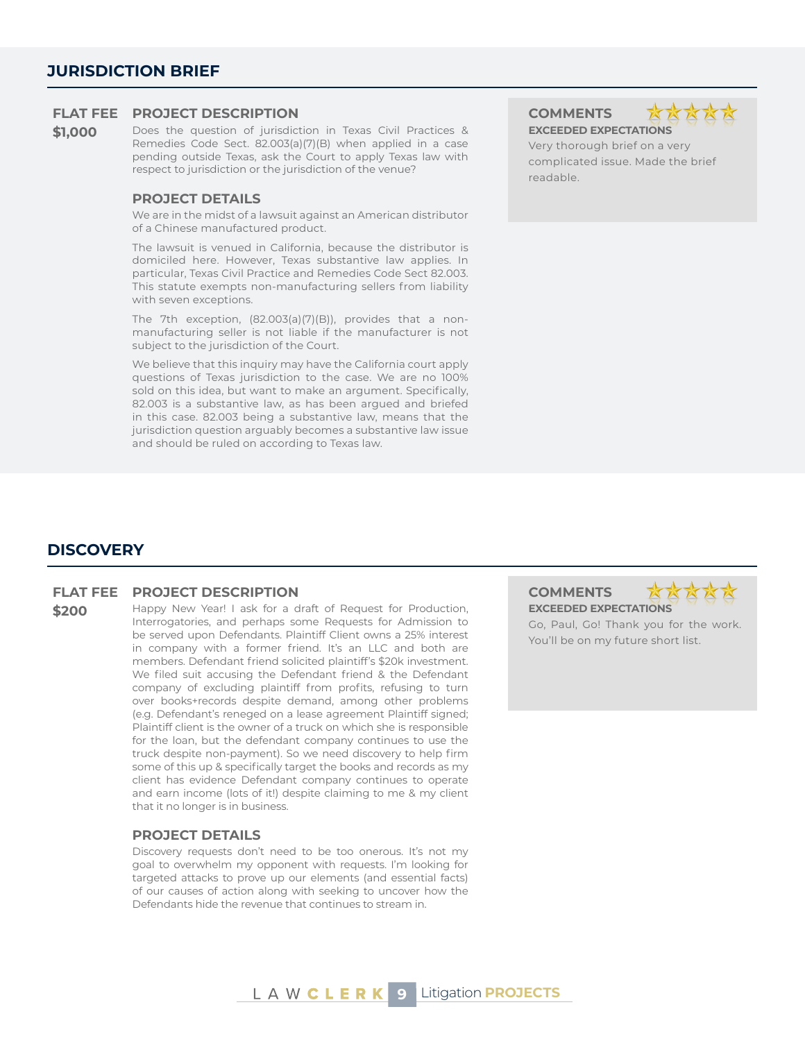**\$1,000** Does the question of jurisdiction in Texas Civil Practices & Remedies Code Sect. 82.003(a)(7)(B) when applied in a case pending outside Texas, ask the Court to apply Texas law with respect to jurisdiction or the jurisdiction of the venue?

#### **PROJECT DETAILS**

We are in the midst of a lawsuit against an American distributor of a Chinese manufactured product.

The lawsuit is venued in California, because the distributor is domiciled here. However, Texas substantive law applies. In particular, Texas Civil Practice and Remedies Code Sect 82.003. This statute exempts non-manufacturing sellers from liability with seven exceptions.

The 7th exception, (82.003(a)(7)(B)), provides that a nonmanufacturing seller is not liable if the manufacturer is not subject to the jurisdiction of the Court.

We believe that this inquiry may have the California court apply questions of Texas jurisdiction to the case. We are no 100% sold on this idea, but want to make an argument. Specifically, 82.003 is a substantive law, as has been argued and briefed in this case. 82.003 being a substantive law, means that the jurisdiction question arguably becomes a substantive law issue and should be ruled on according to Texas law.



Very thorough brief on a very complicated issue. Made the brief readable.

#### **DISCOVERY**

#### **FLAT FEE PROJECT DESCRIPTION COMMENTS**

**\$200** Happy New Year! I ask for a draft of Request for Production, Interrogatories, and perhaps some Requests for Admission to be served upon Defendants. Plaintiff Client owns a 25% interest in company with a former friend. It's an LLC and both are members. Defendant friend solicited plaintiff's \$20k investment. We filed suit accusing the Defendant friend & the Defendant company of excluding plaintiff from profits, refusing to turn over books+records despite demand, among other problems (e.g. Defendant's reneged on a lease agreement Plaintiff signed; Plaintiff client is the owner of a truck on which she is responsible for the loan, but the defendant company continues to use the truck despite non-payment). So we need discovery to help firm some of this up & specifically target the books and records as my client has evidence Defendant company continues to operate and earn income (lots of it!) despite claiming to me & my client that it no longer is in business.

#### **PROJECT DETAILS**

Discovery requests don't need to be too onerous. It's not my goal to overwhelm my opponent with requests. I'm looking for targeted attacks to prove up our elements (and essential facts) of our causes of action along with seeking to uncover how the Defendants hide the revenue that continues to stream in.

**EXCEEDED EXPECTATIONS** Go, Paul, Go! Thank you for the work. You'll be on my future short list.

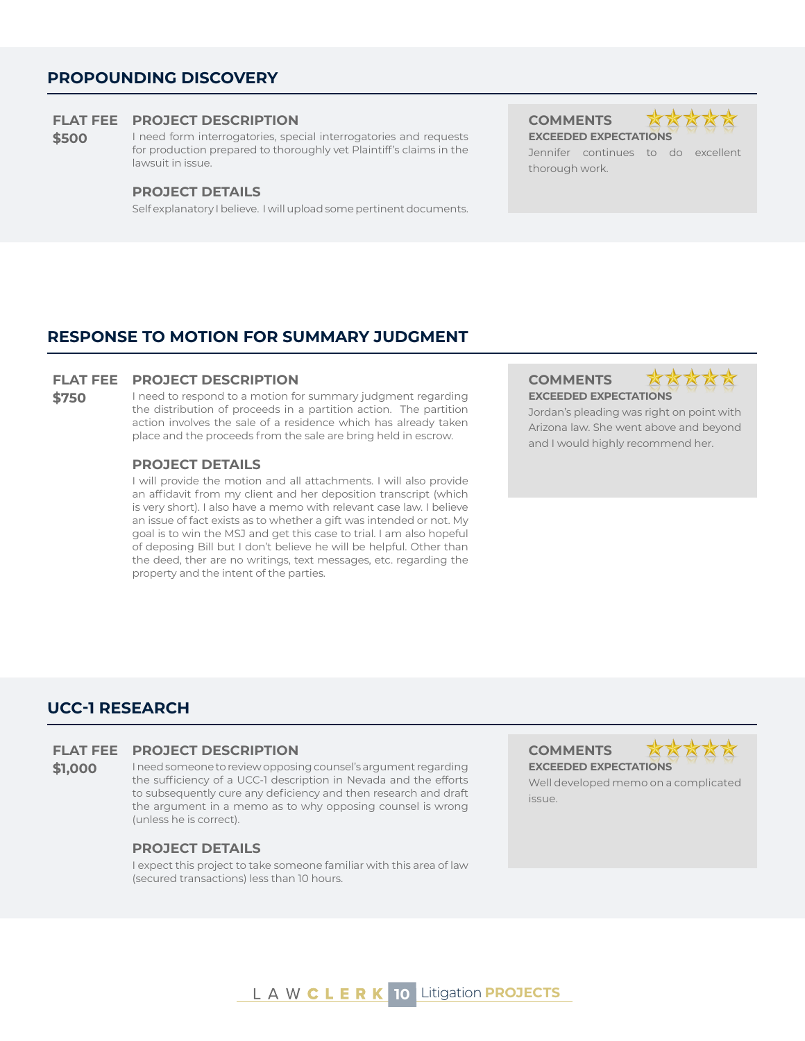#### **PROPOUNDING DISCOVERY**

#### **FLAT FEE PROJECT DESCRIPTION COMMENTS**

**\$500** I need form interrogatories, special interrogatories and requests for production prepared to thoroughly vet Plaintiff's claims in the lawsuit in issue.

#### **PROJECT DETAILS**

Self explanatory I believe. I will upload some pertinent documents.

**EXCEEDED EXPECTATIONS**



Jennifer continues to do excellent thorough work.

#### **RESPONSE TO MOTION FOR SUMMARY JUDGMENT**

#### **FLAT FEE PROJECT DESCRIPTION COMMENTS**

**\$750** I need to respond to a motion for summary judgment regarding the distribution of proceeds in a partition action. The partition action involves the sale of a residence which has already taken place and the proceeds from the sale are bring held in escrow.

#### **PROJECT DETAILS**

I will provide the motion and all attachments. I will also provide an affidavit from my client and her deposition transcript (which is very short). I also have a memo with relevant case law. I believe an issue of fact exists as to whether a gift was intended or not. My goal is to win the MSJ and get this case to trial. I am also hopeful of deposing Bill but I don't believe he will be helpful. Other than the deed, ther are no writings, text messages, etc. regarding the property and the intent of the parties.

# **EXCEEDED EXPECTATIONS**



Jordan's pleading was right on point with Arizona law. She went above and beyond and I would highly recommend her.

## **UCC-1 RESEARCH**

#### **FLAT FEE PROJECT DESCRIPTION COMMENTS**

**\$1,000** I need someone to review opposing counsel's argument regarding the sufficiency of a UCC-1 description in Nevada and the efforts to subsequently cure any deficiency and then research and draft the argument in a memo as to why opposing counsel is wrong (unless he is correct).

#### **PROJECT DETAILS**

I expect this project to take someone familiar with this area of law (secured transactions) less than 10 hours.

**EXCEEDED EXPECTATIONS**



Well developed memo on a complicated issue.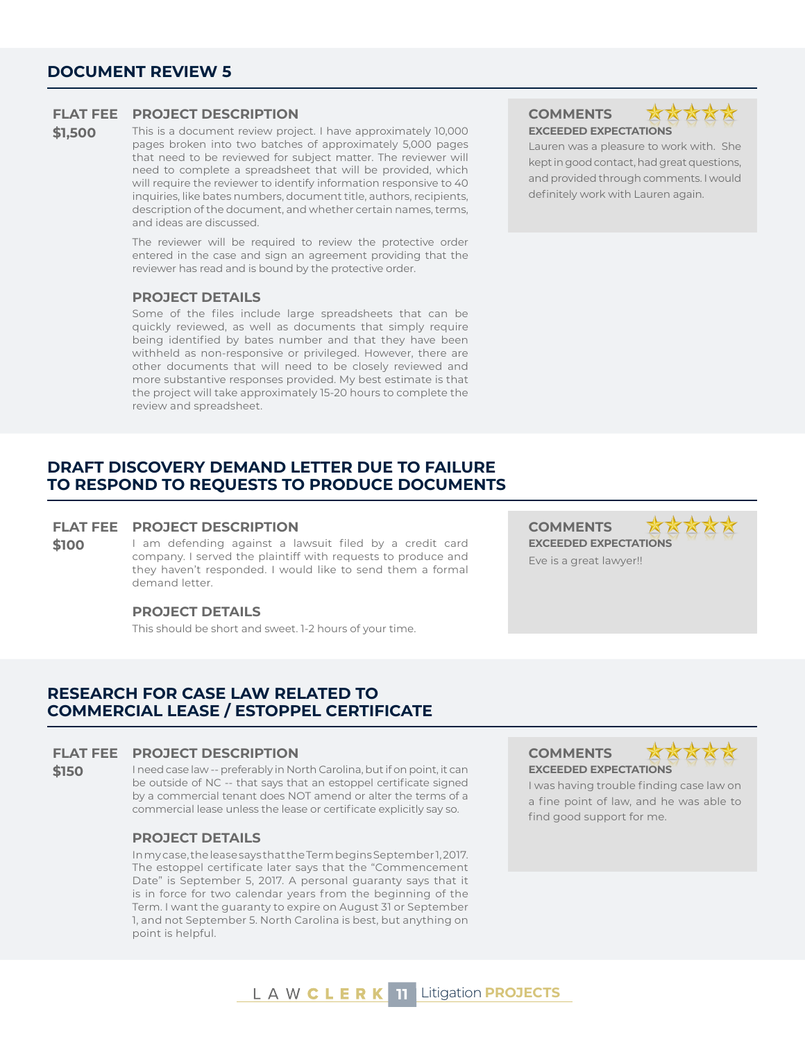**\$1,500** This is a document review project. I have approximately 10,000 pages broken into two batches of approximately 5,000 pages that need to be reviewed for subject matter. The reviewer will need to complete a spreadsheet that will be provided, which will require the reviewer to identify information responsive to 40 inquiries, like bates numbers, document title, authors, recipients, description of the document, and whether certain names, terms, and ideas are discussed.

> The reviewer will be required to review the protective order entered in the case and sign an agreement providing that the reviewer has read and is bound by the protective order.

#### **PROJECT DETAILS**

Some of the files include large spreadsheets that can be quickly reviewed, as well as documents that simply require being identified by bates number and that they have been withheld as non-responsive or privileged. However, there are other documents that will need to be closely reviewed and more substantive responses provided. My best estimate is that the project will take approximately 15-20 hours to complete the review and spreadsheet.

#### **DRAFT DISCOVERY DEMAND LETTER DUE TO FAILURE TO RESPOND TO REQUESTS TO PRODUCE DOCUMENTS**

#### **FLAT FEE PROJECT DESCRIPTION COMMENTS**

#### **\$100** I am defending against a lawsuit filed by a credit card company. I served the plaintiff with requests to produce and they haven't responded. I would like to send them a formal demand letter.

#### **PROJECT DETAILS**

This should be short and sweet. 1-2 hours of your time.

## **RESEARCH FOR CASE LAW RELATED TO COMMERCIAL LEASE / ESTOPPEL CERTIFICATE**

#### **FLAT FEE PROJECT DESCRIPTION COMMENTS**

**\$150** I need case law -- preferably in North Carolina, but if on point, it can be outside of NC -- that says that an estoppel certificate signed by a commercial tenant does NOT amend or alter the terms of a commercial lease unless the lease or certificate explicitly say so.

#### **PROJECT DETAILS**

In my case, the lease says that the Term begins September 1, 2017. The estoppel certificate later says that the "Commencement Date" is September 5, 2017. A personal guaranty says that it is in force for two calendar years from the beginning of the Term. I want the guaranty to expire on August 31 or September 1, and not September 5. North Carolina is best, but anything on point is helpful.

# **EXCEEDED EXPECTATIONS**



Lauren was a pleasure to work with. She kept in good contact, had great questions, and provided through comments. I would definitely work with Lauren again.

AA **EXCEEDED EXPECTATIONS** Eve is a great lawyer!!

**EXCEEDED EXPECTATIONS**



I was having trouble finding case law on a fine point of law, and he was able to find good support for me.